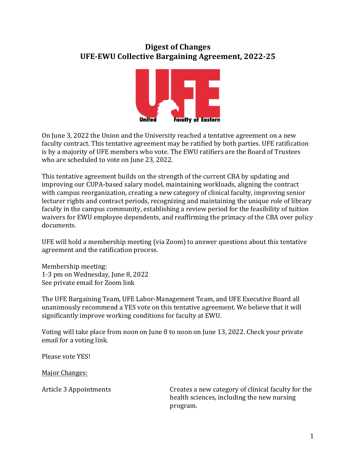## **Digest of Changes UFE-EWU Collective Bargaining Agreement, 2022-25**



On June 3, 2022 the Union and the University reached a tentative agreement on a new faculty contract. This tentative agreement may be ratified by both parties. UFE ratification is by a majority of UFE members who vote. The EWU ratifiers are the Board of Trustees who are scheduled to vote on June 23, 2022.

This tentative agreement builds on the strength of the current CBA by updating and improving our CUPA-based salary model, maintaining workloads, aligning the contract with campus reorganization, creating a new category of clinical faculty, improving senior lecturer rights and contract periods, recognizing and maintaining the unique role of library faculty in the campus community, establishing a review period for the feasibility of tuition waivers for EWU employee dependents, and reaffirming the primacy of the CBA over policy documents.

UFE will hold a membership meeting (via Zoom) to answer questions about this tentative agreement and the ratification process.

Membership meeting: 1-3 pm on Wednesday, June 8, 2022 See private email for Zoom link

The UFE Bargaining Team, UFE Labor-Management Team, and UFE Executive Board all unanimously recommend a YES vote on this tentative agreement. We believe that it will significantly improve working conditions for faculty at EWU.

Voting will take place from noon on June 8 to noon on June 13, 2022. Check your private email for a voting link.

Please vote YES!

Major Changes:

Article 3 Appointments **Creates** a new category of clinical faculty for the health sciences, including the new nursing program.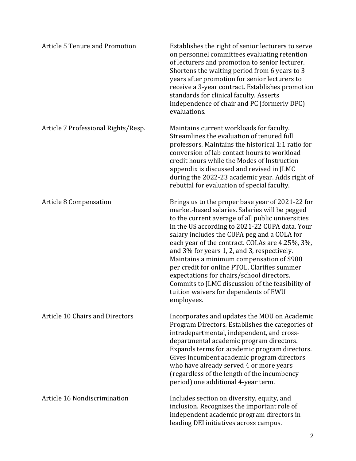| <b>Article 5 Tenure and Promotion</b> | Establishes the right of senior lecturers to serve<br>on personnel committees evaluating retention<br>of lecturers and promotion to senior lecturer.<br>Shortens the waiting period from 6 years to 3<br>years after promotion for senior lecturers to<br>receive a 3-year contract. Establishes promotion<br>standards for clinical faculty. Asserts<br>independence of chair and PC (formerly DPC)<br>evaluations.                                                                                                                                                                                            |
|---------------------------------------|-----------------------------------------------------------------------------------------------------------------------------------------------------------------------------------------------------------------------------------------------------------------------------------------------------------------------------------------------------------------------------------------------------------------------------------------------------------------------------------------------------------------------------------------------------------------------------------------------------------------|
| Article 7 Professional Rights/Resp.   | Maintains current workloads for faculty.<br>Streamlines the evaluation of tenured full<br>professors. Maintains the historical 1:1 ratio for<br>conversion of lab contact hours to workload<br>credit hours while the Modes of Instruction<br>appendix is discussed and revised in JLMC<br>during the 2022-23 academic year. Adds right of<br>rebuttal for evaluation of special faculty.                                                                                                                                                                                                                       |
| Article 8 Compensation                | Brings us to the proper base year of 2021-22 for<br>market-based salaries. Salaries will be pegged<br>to the current average of all public universities<br>in the US according to 2021-22 CUPA data. Your<br>salary includes the CUPA peg and a COLA for<br>each year of the contract. COLAs are 4.25%, 3%,<br>and 3% for years 1, 2, and 3, respectively.<br>Maintains a minimum compensation of \$900<br>per credit for online PTOL. Clarifies summer<br>expectations for chairs/school directors.<br>Commits to JLMC discussion of the feasibility of<br>tuition waivers for dependents of EWU<br>employees. |
| Article 10 Chairs and Directors       | Incorporates and updates the MOU on Academic<br>Program Directors. Establishes the categories of<br>intradepartmental, independent, and cross-<br>departmental academic program directors.<br>Expands terms for academic program directors.<br>Gives incumbent academic program directors<br>who have already served 4 or more years<br>(regardless of the length of the incumbency<br>period) one additional 4-year term.                                                                                                                                                                                      |
| Article 16 Nondiscrimination          | Includes section on diversity, equity, and<br>inclusion. Recognizes the important role of<br>independent academic program directors in<br>leading DEI initiatives across campus.                                                                                                                                                                                                                                                                                                                                                                                                                                |